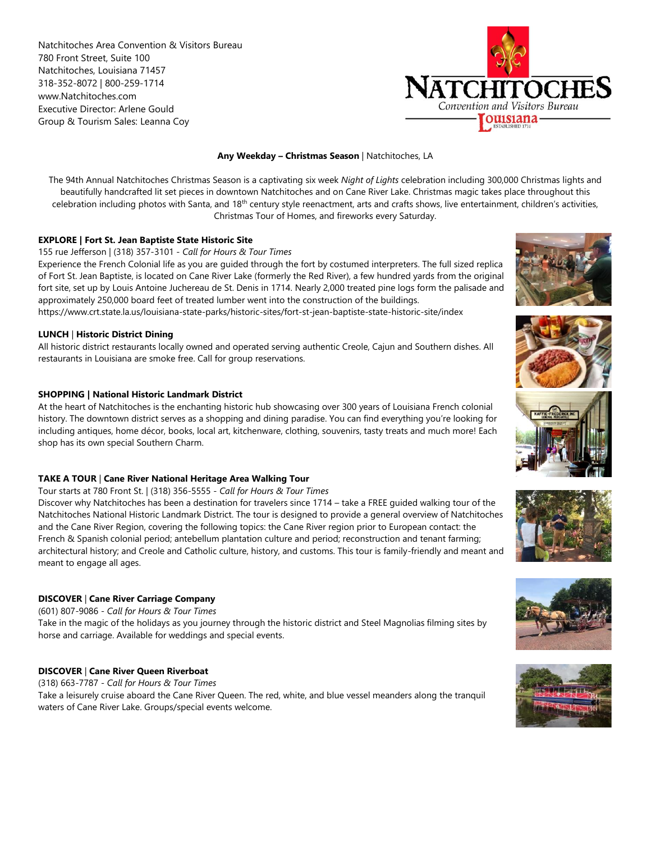Natchitoches Area Convention & Visitors Bureau 780 Front Street, Suite 100 Natchitoches, Louisiana 71457 318-352-8072 | 800-259-1714 www.Natchitoches.com Executive Director: Arlene Gould Group & Tourism Sales: Leanna Coy



## **Any Weekday – Christmas Season** | Natchitoches, LA

The 94th Annual Natchitoches Christmas Season is a captivating six week *Night of Lights* celebration including 300,000 Christmas lights and beautifully handcrafted lit set pieces in downtown Natchitoches and on Cane River Lake. Christmas magic takes place throughout this celebration including photos with Santa, and 18<sup>th</sup> century style reenactment, arts and crafts shows, live entertainment, children's activities, Christmas Tour of Homes, and fireworks every Saturday.

## **EXPLORE | Fort St. Jean Baptiste State Historic Site**

155 rue Jefferson | (318) 357-3101 - *Call for Hours & Tour Times*

Experience the French Colonial life as you are guided through the fort by costumed interpreters. The full sized replica of Fort St. Jean Baptiste, is located on Cane River Lake (formerly the Red River), a few hundred yards from the original fort site, set up by Louis Antoine Juchereau de St. Denis in 1714. Nearly 2,000 treated pine logs form the palisade and approximately 250,000 board feet of treated lumber went into the construction of the buildings.

https://www.crt.state.la.us/louisiana-state-parks/historic-sites/fort-st-jean-baptiste-state-historic-site/index

## **LUNCH** | **Historic District Dining**

All historic district restaurants locally owned and operated serving authentic Creole, Cajun and Southern dishes. All restaurants in Louisiana are smoke free. Call for group reservations.

## **SHOPPING | National Historic Landmark District**

At the heart of Natchitoches is the enchanting historic hub showcasing over 300 years of Louisiana French colonial history. The downtown district serves as a shopping and dining paradise. You can find everything you're looking for including antiques, home décor, books, local art, kitchenware, clothing, souvenirs, tasty treats and much more! Each shop has its own special Southern Charm.

## **TAKE A TOUR** | **Cane River National Heritage Area Walking Tour**

Tour starts at 780 Front St. | (318) 356-5555 *- Call for Hours & Tour Times*

Discover why Natchitoches has been a destination for travelers since 1714 – take a FREE guided walking tour of the Natchitoches National Historic Landmark District. The tour is designed to provide a general overview of Natchitoches and the Cane River Region, covering the following topics: the Cane River region prior to European contact: the French & Spanish colonial period; antebellum plantation culture and period; reconstruction and tenant farming; architectural history; and Creole and Catholic culture, history, and customs. This tour is family-friendly and meant and meant to engage all ages.

# **DISCOVER** | **Cane River Carriage Company**

(601) 807-9086 *- Call for Hours & Tour Times*

Take in the magic of the holidays as you journey through the historic district and Steel Magnolias filming sites by horse and carriage. Available for weddings and special events.

## **DISCOVER** | **Cane River Queen Riverboat**

(318) 663-7787 *- Call for Hours & Tour Times* Take a leisurely cruise aboard the Cane River Queen. The red, white, and blue vessel meanders along the tranquil waters of Cane River Lake. Groups/special events welcome.